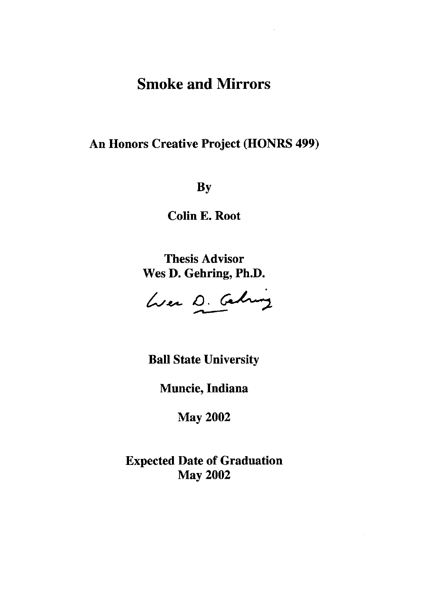# Smoke and Mirrors

### An Honors Creative Project (HONRS 499)

By

Colin E. Root

Thesis Advisor Wes D. Gehring, Ph.D.

Wer D. Celing

Ball State University

Muncie, Indiana

May 2002

Expected Date of Graduation May 2002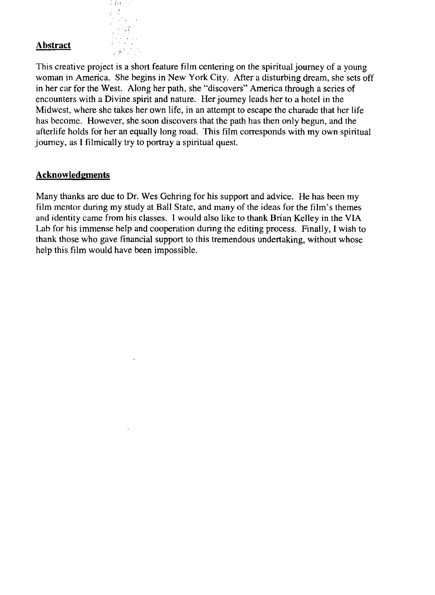# **Abstract Abstract**

a Ate  $\frac{1}{2}$  $\omega/\omega$  .  $\sim$  21

This creative project is a short feature film centering on the spiritual journey of a young woman in America. She begins in New York City. After a disturbing dream, she sets off in her car for the West. Along her path, she "discovers" America through a series of encounters with a Divine spirit and nature. Her journey leads her to a hotel in the Midwest, where she takes her own life, in an attempt to escape the charade that her life has become. However, she soon discovers that the path has then only begun, and the afterlife holds for her an equally long road. This film corresponds with my own spiritual journey, as I filmically try to portray a spiritual quest.

#### **Acknowledgments**

Many thanks are due to **Dr.** Wes Gehring for his support and advice. He has been my film mentor during my study at Ball State, and many of the ideas for the film's themes and identity came from his classes. I would also like to thank Brian Kelley in the VIA Lab for his immense help and cooperation during the editing process. Finally, I wish to thank those who gave financial support to this tremendous undertaking, without whose help this film would have been impossible.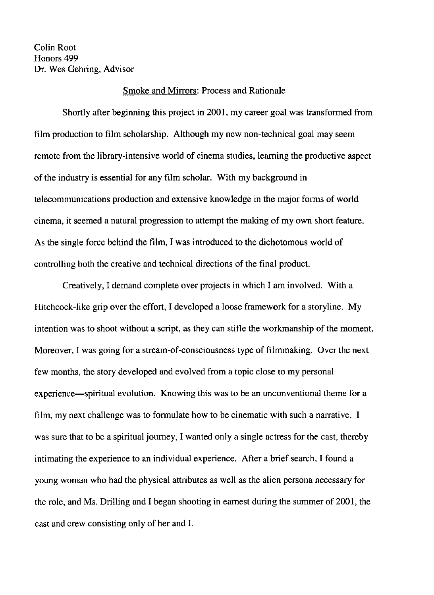Colin Root Honors 499 Dr. Wes Gehring, Advisor

#### Smoke and Mirrors: Process and Rationale

Shortly after beginning this project in 2001, my career goal was transformed from film production to film scholarship. Although my new non-technical goal may seem remote from the library-intensive world of cinema studies, learning the productive aspect of the industry is essential for any film scholar. With my background in telecommunications production and extensive knowledge in the major forms of world cinema, it seemed a natural progression to attempt the making of my own short feature. As the single force behind the film, I was introduced to the dichotomous world of controlling both the creative and technical directions of the final product.

Creatively, I demand complete over projects in which I am involved. With a Hitchcock-like grip over the effort, I developed a loose framework for a storyline. My intention was to shoot without a script, as they can stifle the workmanship of the moment. Moreover, I was going for a stream-of-consciousness type of filmmaking. Over the next few months, the story developed and evolved from a topic close to my personal experience-spiritual evolution. Knowing this was to be an unconventional theme for a film, my next challenge was to formulate how to be cinematic with such a narrative. I was sure that to be a spiritual journey, I wanted only a single actress for the cast, thereby intimating the experience to an individual experience. After a brief search, I found a young woman who had the physical attributes as well as the alien persona necessary for the role, and Ms. Drilling and I began shooting in earnest during the summer of 2001, the cast and crew consisting only of her and I.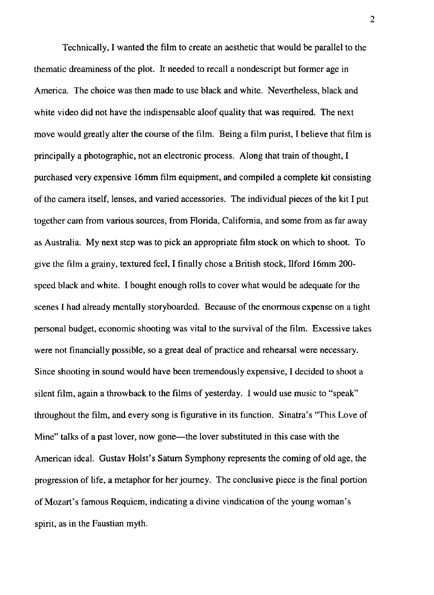Technically, I wanted the film to create an aesthetic that would be parallel to the thematic dreaminess of the plot. It needed to recall a nondescript but former age in America. The choice was then made to use black and white. Nevertheless, black and white video did not have the indispensable aloof quality that was required. The next move would greatly alter the course of the film. Being a film purist, I believe that film is principally a photographic, not an electronic process. Along that train of thought, I purchased very expensive 16mm film equipment, and compiled a complete kit consisting of the camera itself, lenses, and varied accessories. The individual pieces of the kit I put together cam from various sources, from Florida, California, and some from as far away as Australia. My next step was to pick an appropriate film stock on which to shoot. To give the film a grainy, textured feel, I finally chose a British stock, Ilford 16mm 200 speed black and white. I bought enough rolls to cover what would be adequate for the scenes I had already mentally storyboarded. Because of the enormous expense on a tight personal budget, economic shooting was vital to the survival of the film. Excessive takes were not financially possible, so a great deal of practice and rehearsal were necessary. Since shooting in sound would have been tremendously expensive, I decided to shoot a silent film, again a throwback to the films of yesterday. I would use music to "speak" throughout the film, and every song is figurative in its function. Sinatra's ''This Love of Mine" talks of a past lover, now gone—the lover substituted in this case with the American ideal. Gustav Holst's Saturn Symphony represents the coming of old age, the progression of life, a metaphor for her journey. The conclusive piece is the final portion of Mozart's famous Requiem, indicating a divine vindication of the young woman's spirit, as in the Faustian myth.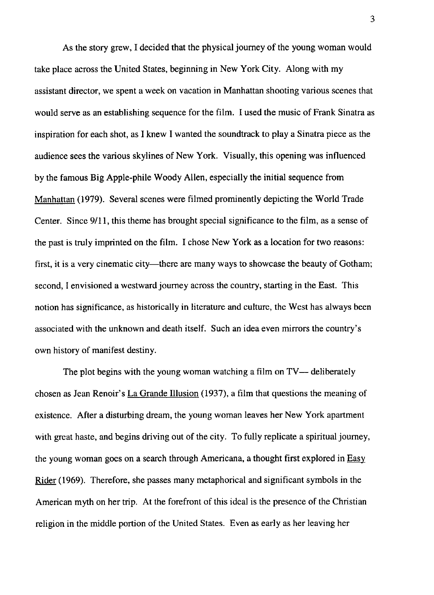As the story grew, I decided that the physical journey of the young woman would take place across the United States, beginning in New York City. Along with my assistant director, we spent a week on vacation in Manhattan shooting various scenes that would serve as an establishing sequence for the film. I used the music of Frank Sinatra as inspiration for each shot, as I knew I wanted the soundtrack to playa Sinatra piece as the audience sees the various skylines of New York. Visually, this opening was influenced by the famous Big Apple-phile Woody Allen, especially the initial sequence from Manhattan (1979). Several scenes were filmed prominently depicting the World Trade Center. Since *9/11,* this theme has brought special significance to the film, as a sense of the past is truly imprinted on the film. I chose New York as a location for two reasons: first, it is a very cinematic city—there are many ways to showcase the beauty of Gotham; second, I envisioned a westward journey across the country, starting in the East. This notion has significance, as historically in literature and culture, the West has always been associated with the unknown and death itself. Such an idea even mirrors the country's own history of manifest destiny.

The plot begins with the young woman watching a film on TV— deliberately chosen as Jean Renoir's La Grande Illusion (1937), a film that questions the meaning of existence. After a disturbing dream, the young woman leaves her New York apartment with great haste, and begins driving out of the city. To fully replicate a spiritual journey, the young woman goes on a search through Americana, a thought first explored in Easy Rider (1969). Therefore, she passes many metaphorical and significant symbols in the American myth on her trip. At the forefront of this ideal is the presence of the Christian religion in the middle portion of the United States. Even as early as her leaving her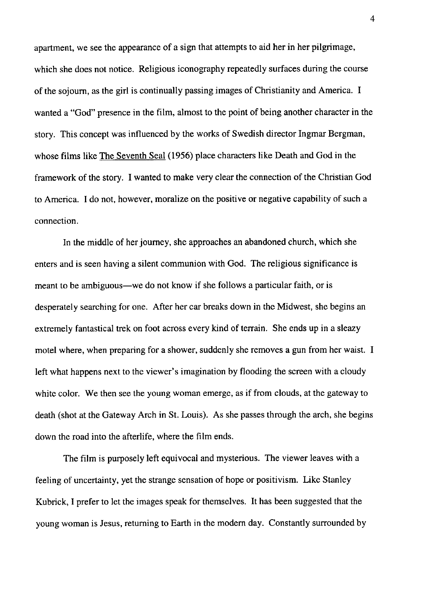apartment, we see the appearance of a sign that attempts to aid her in her pilgrimage, which she does not notice. Religious iconography repeatedly surfaces during the course of the sojourn, as the girl is continually passing images of Christianity and America. I wanted a "God" presence in the film, almost to the point of being another character in the story. This concept was influenced by the works of Swedish director Ingmar Bergman, whose films like The Seventh Seal (1956) place characters like Death and God in the framework of the story. I wanted to make very clear the connection of the Christian God to America. I do not, however, moralize on the positive or negative capability of such a connection.

In the middle of her journey, she approaches an abandoned church, which she enters and is seen having a silent communion with God. The religious significance is meant to be ambiguous—we do not know if she follows a particular faith, or is desperately searching for one. After her car breaks down in the Midwest, she begins an extremely fantastical trek on foot across every kind of terrain. She ends up in a sleazy motel where, when preparing for a shower, suddenly she removes a gun from her waist. I left what happens next to the viewer's imagination by flooding the screen with a cloudy white color. We then see the young woman emerge, as if from clouds, at the gateway to death (shot at the Gateway Arch in St. Louis). As she passes through the arch, she begins down the road into the afterlife, where the film ends.

The film is purposely left equivocal and mysterious. The viewer leaves with a feeling of uncertainty, yet the strange sensation of hope or positivism. Like Stanley Kubrick, I prefer to let the images speak for themselves. It has been suggested that the young woman is Jesus, returning to Earth in the modern day. Constantly surrounded by